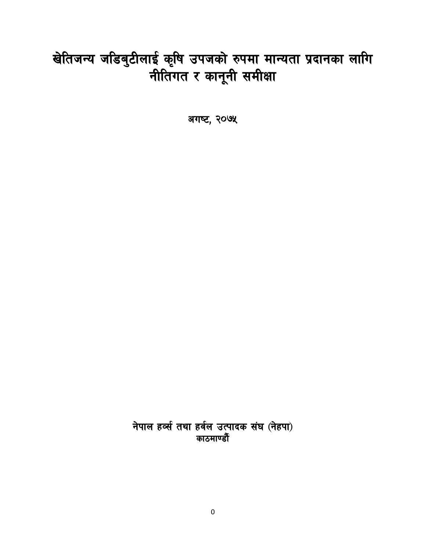# खेतिजन्य जडिबुटीलाई कृषि उपजको रुपमा मान्यता प्रदानका लागि<br>नीतिगत र कानूनी समीक्षा

अगष्ट, २०७५

नेपाल हर्व्स तथा हर्वल उत्पादक संघ (नेहपा) काठमाण्डौ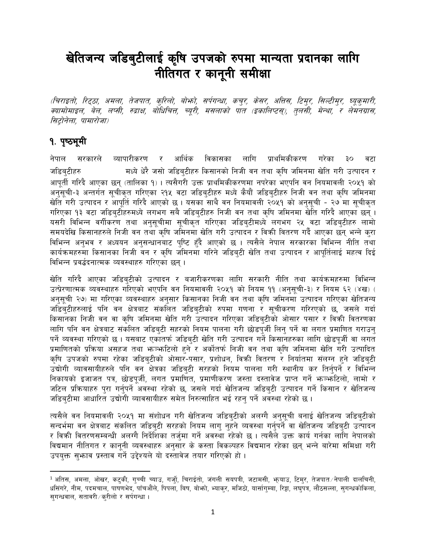## खेतिजन्य जडिबुटीलाई कृषि उपजको रुपमा मान्यता प्रदानका लागि नीतिगत र कानूनी समीक्षा

(चिराइतो, रिट्ठा, अमला, तेजपात, कुरिलो, बोर्फा, सर्पगन्धा, कचुर, केसर, अतिस, टिमुर, सिल्टीमुर, घ्यूकुमारी, क्यामोमाइल, बेल, लप्सी, रुद्राक्ष, बोधिचित्त, च्यूरी, मसलाको पात (इकालिप्टस्), तुलसी, मेन्था, र लेमनग्रास, सिटोनेला. पामारोजा)

#### १. पृष्ठभूमी

व्यापारीकरण र आर्थिक विकासका लागि प्राथमिकीकरण गरेका नेपाल सरकारले  $30$ वटा मध्ये धेरै जसो जडिबुटीहरु किसानको निजी वन तथा कृषि जमिनमा खेति गरी उत्पादन र जडिब्टीहरु आपूर्ती गरिदै आएका छन् (तालिका १)। त्यसैगरी उक्त प्राथमिकीकरणमा नपरेका भएपनि वन नियमावली २०५१ को अनुसूची-३ अन्तर्गत सुचीकृत गरिएका २१५ वटा जडिबुटीहरु मध्ये कैयौं जडिबुटीहरु निजी वन तथा कृषि जमिनमा खेति गरी उत्पादन र आपूर्ति गरिदै आएको छ । यसका साथै वन नियमावली २०५१ को अनुसूची - २७ मा सूचीकृत गरिएका १३ वटा जडिबुटीहरुमध्ये लगभग सबै जडिबुटीहरु निजी वन तथा कृषि जमिनमा खेति गरिदै आएका छन् । यसरी विभिन्न वर्गीकरण तथा अनुसुचीमा सुचीकृत गरिएका जडिबुटीमध्ये लगभग २५ वटा जडिबुटीहरु लामो समयदेखि किसानहरुले निजी वन तथा कृषि जमिनमा खेति गरी उत्पादन र विक्री वितरण गर्दै आएका छन् भन्ने करा विभिन्न अनुभव र अध्ययन अनुसन्धानबाट पुष्टि हुँदै आएको छ । त्यसैले नेपाल सरकारका विभिन्न नीति तथा कार्यक्रमहरुमा किसानका निजी वन र कृषि जमिनमा गरिने जडिब्टी खेति तथा उत्पादन र आपूर्तिलाई महत्व दिई विभिन्न प्रवर्द्धदनात्मक व्यवस्थाहरु गरिएका छन ।

खेति गरिदै आएका जडिब्टीको उत्पादन र बजारीकरणका लागि सरकारी नीति तथा कार्यक्रमहरुमा विभिन्न उत्प्रेरणात्मक व्यवस्थाहरु गरिएको भएपनि वन नियमावली २०५१ को नियम ११ (अनुसूची-३) र नियम ६२ (४ख) ( अनुसूची २७) मा गरिएका व्यवस्थाहरु अनुसार किसानका निजी वन तथा कृषि जमिनमा उत्पादन गरिएका खेतिजन्य जडिबुटीहरुलाई पनि वन क्षेत्रबाट संकलित जडिबुटीको रुपमा गणना र सूचीकरण गरिरएको छ, जसले गर्दा किसानका निजी वन वा कृषि जमिनमा खेति गरी उत्पादन गरिएका जडिबटीको ओसार पसार र विकी वितरणका लागि पनि वन क्षेत्रबाट संकलित जडिब्टी सहरको नियम पालना गरी छोडपुर्जी लिन् पर्ने वा लगत प्रमाणित गराउन् पर्ने व्यवस्था गरिएको छ । यसबाट एकातर्फ जडिब्टी खेति गरी उत्पादन गर्ने किसानहरुका लागि छोडपूर्जी वा लगत प्रमाणितको प्रक्रिया असहज तथा भन्भ्भटिलो हुने र अर्कोतर्फ निजी वन तथा कृषि जमिनमा खेति गरी उत्पादित कृषि उपजको रुपमा रहेका जडिब्टीको ओसार-पसार, प्रशोधन, विक्री वितरण र निर्यातमा संलग्न हने जडिब्टी उद्योगी व्यावसायीहरुले पनि वन क्षेत्रका जडिबुटी सरहको नियम पालना गरी स्थानीय कर तिर्नुपर्ने र विभिन्न निकायको इजाजत पत्र, छोडपुर्जी, लगत प्रमाणित, प्रमाणीकरण जस्ता दस्तावेज प्राप्त गर्ने भज्भ्फोटिलो, लामो र जटिल प्रक्रियाहरु पुरा गर्नुपर्ने अवस्था रहेको छ, जसले गर्दा खेतिजन्य जडिबुटी उत्पादन गर्ने किसान र खेतिजन्य जडिबुटीमा आधारित उद्योगी व्यावसायीहरु समेत निरुत्साहित भई रहन् पर्ने अवस्था रहेको छ ।

त्यसैले वन नियमावली २०५१ मा संशोधन गरी खेतिजन्य जडिबुटीको अलग्गै अनुसुची बनाई खेतिजन्य जडिबुटीको सन्दर्भमा वन क्षेत्रबाट संकलित जडिबुटी सरहको नियम लागु नुहने व्यवस्था गर्नुपर्ने वा खेतिजन्य जडिबुटी उत्पादन र विकी वितरणसम्बन्धी अलग्गै निर्देशिका तर्जुमा गर्ने अवस्था रहेको छ । त्यसैले उक्त कार्य गर्नका लागि नेपालको विद्यमान नीतिगत र कानूनी व्यवस्थाहरु अनुसार के कस्ता विकल्पहरु विद्यमान रहेका छन् भन्ने बारेमा समिक्षा गरी उपयुक्त सुभाव प्रस्ताव गर्ने उद्देश्यले यो दस्तावेज तयार गरिएको हो।

<sup>&</sup>lt;sup>1</sup> अतिस, अमला, ओखर, कटुकी, गुच्ची च्याउ, गर्जुो, चिराईतो, जंगली सयपत्री, जटामसी, भायाउ, टिमुर, तेजपात ∕नेपाली दालचिनी, धसिंगरे, नीम, पदमचाल, पाषणभेद, पाँचऔंले, पिपला, बिष, बोभ्गो, भ्याकुर, मजिठो, यार्सागुम्बा, रिड्डा, लघुपत्र, लौठसल्ला, सुगन्धकोकिला, सुगन्धवाल, सतावरी ∕ कुरीलो र सर्पगन्धा ।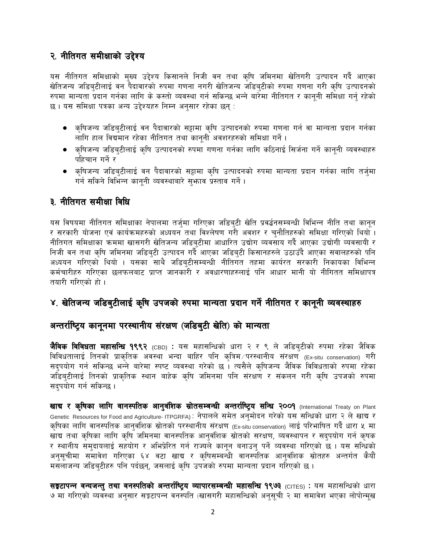#### २. नीतिगत समीक्षाको उद्देश्य

यस नीतिगत समिक्षाको मुख्य उद्देश्य किसानले निजी वन तथा कृषि जमिनमा खेतिगरी उत्पादन गर्दै आएका खेतिजन्य जडिबटीलाई वन पैदावारको रुपमा गणना नगरी खेतिजन्य जडिबटीको रुपमा गणना गरी कृषि उत्पादनको रुपमा मान्यता प्रदान गर्नका लागि के कस्तो व्यवस्था गर्न सकिन्छ भन्ने बारेमा नीतिगत र कानुनी समिक्षा गर्नु रहेको छ। यस समिक्षा पत्रका अन्य उद्देश्यहरु निम्न अनुसार रहेका छन् :

- क्षिजन्य जडिब्टीलाई वन पैदावारको सट्टामा कृषि उत्पादनको रुपमा गणना गर्न वा मान्यता प्रदान गर्नका लागि हाल विद्यमान रहेका नीतिगत तथा कानुनी अवशरहरुको समिक्षा गर्ने ।
- कृषिजन्य जडिब्टीलाई कृषि उत्पादनको रुपमा गणना गर्नका लागि कठिनाई सिर्जना गर्ने कानूनी व्यवस्थाहरु पहिचान गर्ने र
- कृषिजन्य जडिबुटीलाई वन पैदावारको सट्टामा कृषि उत्पादनको रुपमा मान्यता प्रदान गर्नका लागि तर्जुमा गर्न सकिने विभिन्न कानुनी व्यवस्थाबारे सुभाव प्रस्ताव गर्ने।

#### ३. नीतिगत समीक्षा विधि

यस विषयमा नीतिगत समिक्षाका नेपालमा तर्जमा गरिएका जडिबटी खेति प्रवर्द्धनसम्बन्धी विभिन्न नीति तथा कानुन र सरकारी योजना एवं कार्यक्रमहरुको अध्ययन तथा विश्लेषण गरी अवशर र चुनौतिहरुको समिक्षा गरिएको थियो । नीतिगत समिक्षाका क्रममा खासगरी खेतिजन्य जडिब्टीमा आधारित उद्योग व्यवसाय गर्दै आएका उद्योगी व्यवसायी र निजी वन तथा कृषि जमिनमा जडिब्टी उत्पादन गर्दै आएका जडिब्टी किसानहरुले उठाउँदै आएका सवालहरुको पनि अध्ययन गरिएको थियो । यसका साथै जडिब्टीसम्बन्धी नीतिगत तहमा कार्यरत सरकारी निकायका विभिन्न कर्मचारीहरु गरिएका छलफलबाट प्राप्त जानकारी र अवधारणाहरुलाई पनि आधार मानी यो नीगितत समिक्षापत्र तयारी गरिएको हो ।

#### ४. खेतिजन्य जडिबुटीलाई कृषि उपजको रुपमा मान्यता प्रदान गर्ने नीतिगत र कानूनी व्यवस्थाहरु

#### अन्तर्राष्ट्रिय कानूनमा परस्थानीय संरक्षण (जडिबुटी खेति) को मान्यता

**जैविक विविधता महासन्धि १९९२** (CBD) : यस महासन्धिको धारा २ र ९ ले जडिबुटीको रुपमा रहेका जैविक विविधतालाई तिनको प्राकृतिक अवस्था भन्दा बाहिर पनि कृत्रिम परस्थानीय संरक्षण (Ex-situ conservation) गरी सदुपयोग गर्न सकिन्छ भन्ने बारेमा स्पष्ट व्यवस्था गरेको छ । त्यसैले कृषिजन्य जैविक विविधताको रुपमा रहेका जडिबुटीलाई तिनको प्राकृतिक स्थान बाहेक कृषि जमिनमा पनि संरक्षण र संकलन गरी कृषि उपजको रुपमा सदपयोग गर्न सकिन्छ ।

खाद्य र कृषिका लागि वानस्पतिक आनुवंशिक स्रोतसम्बन्धी अन्तर्राष्ट्रिय सन्धि २००१ (International Treaty on Plant Genetic Resources for Food and Agriculture-ITPGRFA): नेपालले समेत अनुमोदन गरेको यस सन्धिको धारा २ ले खाद्य र कृषिका लागि वानस्पतिक आनुवंशिक स्रोतको परस्थानीय संरक्षण (Ex-situ conservation) लाई परिभाषित गर्दै धारा ५ मा खाद्य तथा कृषिका लागि कृषि जमिनमा वानस्पतिक आनुवंशिक स्रोतको सरक्षण, व्यवस्थापन र सद्पयोग गर्न कृषक र स्थानीय समुदायलाई सहयोग र अभिप्रेरित गर्न राज्यले कानून बनाउनु पर्ने व्यवस्था गरिएको छ । यस सन्धिको अनुसूचीमा समावेश गरिएका ६४ वटा खाद्य र कृषिसम्बन्धी वानस्पतिक आनुवंशिक स्रोतहरु अन्तर्गत कैयौं मसलाजन्य जडिब्टीहरु पनि पर्दछन्, जसलाई कृषि उपजको रुपमा मान्यता प्रदान गरिएको छ ।

**सङ्कटापन्न वन्यजन्त् तथा वनस्पतिको अन्तर्राष्ट्रिय व्यापारसम्बन्धी महासन्धि १९७३** (CITES) : यस महासन्धिको धारा ७ मा गरिएको व्यवस्था अनुसार सङ्कटापन्न वनस्पति (खासगरी महासन्धिको अनुसूची २ मा समावेश भएका लोपोन्मूख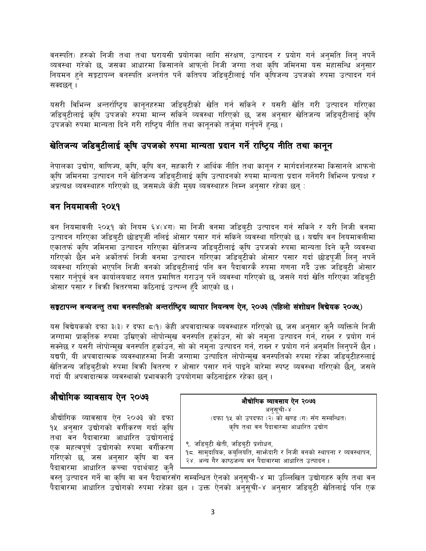वनस्पति) हरुको निजी तथा तथा घरायसी प्रयोगका लागि संरक्षण, उत्पादन र प्रयोग गर्न अनुमति लिन् नपर्ने व्यवस्था गरेको छ, जसका आधारमा किसानले आफनो निजी जग्गा तथा कृषि जमिनमा यस महासन्धि अनुसार नियमन हुने सङ्कटापन्न वनस्पति अन्तर्गत पर्ने कतिपय जडिबटीलाई पनि कषिजन्य उपजको रुपमा उत्पादन गर्न सक्दछन् ।

यसरी विभिन्न अन्तर्राष्ट्रिय कानूनहरुमा जडिबुटीको खेति गर्न सकिने र यसरी खेति गरी उत्पादन गरिएका जडिब्टीलाई कृषि उपजको रुपमा मान्न सकिने व्यवस्था गरिएको छ, जस अनुसार खेतिजन्य जडिब्टीलाई कृषि उपजको रुपमा मान्यता दिने गरी राष्ट्रिय नीति तथा कानूनको तर्जुमा गर्नुपर्ने हुन्छ ।

#### खेतिजन्य जडिबटीलाई कृषि उपजको रुपमा मान्यता प्रदान गर्ने राष्टिय नीति तथा कानुन

नेपालका उद्योग, वाणिज्य, कृषि, कृषि वन, सहकारी र आर्थिक नीति तथा कानून र मार्गदर्शनहरुमा किसानले आफनो कृषि जमिनमा उत्पादन गर्ने खेतिजन्य जडिबुटीलाई कृषि उत्पादनको रुपमा मान्यता प्रदान गर्नेगरी विभिन्न प्रत्यक्ष र अप्रत्यक्ष व्यवस्थाहरु गरिएको छ, जसमध्ये केही मुख्य व्यवस्थाहरु निम्न अनुसार रहेका छन् :

#### वन नियमावली २०५१

वन नियमावली २०५१ को नियम ६४(४ग) मा निजी वनमा जडिबुटी उत्पादन गर्न सकिने र यरी निजी वनमा उत्पादन गरिएका जडिबुटी छोडपूर्जी नलिई ओसार पसार गर्न सकिने व्यवस्था गरिएको छ । यद्यपि वन नियमावलीमा एकातर्फ कृषि जमिनमा उत्पादन गरिएका खेतिजन्य जडिब्टीलाई कृषि उपजको रुपमा मान्यता दिने क्नै व्यवस्था गरिएको छैन भने अर्कोतर्फ निजी वनमा उत्पादन गरिएका जडिब्टीको ओसार पसार गर्दा छोडपूर्जी लिन् नपर्ने व्यवस्था गरिएको भएपनि निजी वनको जडिब्टीलाई पनि वन पैदावारकै रुपमा गणना गर्दै उक्त जडिब्टी ओसार पसार गर्नपूर्व वन कार्यालयबाट लगत प्रमाणित गराउन् पर्ने व्यवस्था गरिएको छ, जसले गर्दा खेति गरिएका जडिब्टी ओसार पसार र विकी वितरणमा कठिनाई उत्पन्न हँदै आएको छ ।

#### सङ्कटापन्न वन्यजन्तु तथा वनस्पतिको अन्तर्राष्ट्रिय व्यापार नियन्त्रण ऐन, २०७३ (पहिलो संशोधन विद्येयक २०७५)

यस विद्येयकको दफा ३(३) र दफा ८(१) केही अपवादात्मक व्यवस्थाहरु गरिएको छ, जस अनुसार कुनै व्यक्तिले निजी जग्गामा प्राकृतिक रुपमा उम्रिएको लोपोन्मुख वनस्पति हर्काउन, सो को नमुना उत्पादन गर्न, राख्न र प्रयोग गर्न सक्नेछ र यसरी लोपोन्मूख वनस्पति हुर्काउन, सो को नमूना उत्पादन गर्न, राख्न र प्रयोग गर्न अनुमति लिनुपर्ने छैन । यद्यपी, यी अपवादात्मक व्यवस्थाहरुमा निजी जग्गामा उत्पादित लोपोन्मुख वनस्पतिको रुपमा रहेका जडिबुटीहरुलाई खेतिजन्य जडिबटीको रुपमा विक्री वितरण र ओसार पसार गर्न पाइने बारेमा स्पष्ट व्यवस्था गरिएको छैन्, जसले गर्दा यी अपवादात्मक व्यवस्थाको प्रभावकारी उपयोगमा कठिनाईहरु रहेका छन् ।

#### औद्योगिक व्यावसाय ऐन २०७३

औद्योगिक व्यावसाय ऐन २०७३ को दफा १४ अनुसार उद्योगको वगीकरण गर्दा कृषि तथा वन पैदावारमा आधारित उद्योगलाई एक महत्वपूर्ण उद्योगको रुपमा वर्गीकरण गरिएको छ, जस अनुसार कृषि वा वन पैदावारमा आधारित कच्चा पदार्थबाट कुनै

(दफा १५ को उपदफा (२) को खण्ड (ग) सँग सम्बन्धित) कृषि तथा वन पैदावारमा आधारित उद्योग ९. जडिबुटी खेती, जडिबुटी प्रशोधन, १८. सामुदायिक, कबुलियति, साभ्रेदारी र निजी वनको स्थापना र व्यवस्थापन, २४. अन्य गैर काष्ठजन्य वन पैदावारमा आधारित उत्पादन ।

औद्योगिक व्यावसाय ऐन २०७३ अनुसूची-४

वस्तु उत्पादन गर्ने वा कृषि वा वन पैदावारसँग सम्बन्धित ऐनको अनुसूची-४ मा उल्लिखित उद्योगहरु कृषि तथा वन पैदावारमा आधारित उद्योगको रुपमा रहेका छन । उक्त ऐनको अनुसुची-४ अनुसार जडिबुटी खेतिलाई पनि एक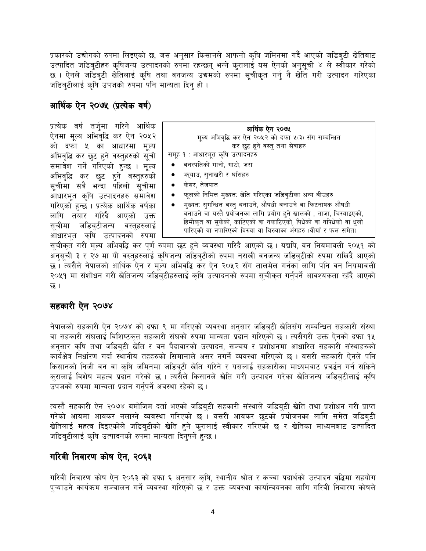प्रकारको उद्योगको रुपमा लिइएको छ, जस अनुसार किसानले आफनो कृषि जमिनमा गर्दै आएको जडिब्टी खेतिबाट उत्पादित जडिब्टीहरु कृषिजन्य उत्पादनको रुपमा रहन्छन् भन्ने क्रालाई यस ऐनको अनुसूची ४ ले स्वीकार गरेको छ । ऐनले जडिब्टी खेतिलाई कृषि तथा वनजन्य उद्यमको रुपमा सूचीकृत गर्न् नै खेति गरी उत्पादन गरिएका जडिब्टीलाई कृषि उपजको रुपमा पनि मान्यता दिनु हो ।

#### आर्थिक ऐन २०७५ (प्रत्येक वर्ष)

प्रत्येक वर्ष तर्जुमा गरिने आर्थिक ऐनमा मूल्य अभिवृद्धि कर ऐन २०५२ को दफा ५ का आधारमा मूल्य अभिवृद्धि कर छुट हुने वस्तुहरुको सूची समावेश गर्ने गरिएको हुन्छ । मूल्य अभिवृद्धि कर छुट हुने वस्तुहरुको सूचीमा सबै भन्दा पहिलो सूचीमा आधारभूत कृषि उत्पादनहरु समावेश गरिएको हुन्छ । प्रत्येक आर्थिक वर्षका लागि तयार गरिदै आएको उक्त सूचीमा जडिब्टीजन्य वस्तुहरुलाई आधारभूत कृषि उत्पादनको रुपमा

| आर्थिक ऐन २०७५                                                      |  |  |  |  |
|---------------------------------------------------------------------|--|--|--|--|
| मूल्य अभिवृद्धि कर ऐन २०५२ को दफा ५(३) सँग सम्बन्धित                |  |  |  |  |
| कर छट हने वस्त् तथा सेवाहरु                                         |  |  |  |  |
| समूह १ : आधारभूत कृषि उत्पादनहरु                                    |  |  |  |  |
| वनस्पतिको गानो, गाठो, जरा                                           |  |  |  |  |
| भा्याउ, सुनाखरी र घाँसहरु                                           |  |  |  |  |
| ● केसर, तेजपात                                                      |  |  |  |  |
| फूलको निमित्त मुख्यत: खेति गरिएका जडिब्टीका अन्य बीउहरु             |  |  |  |  |
| मुख्यतः सुगन्धित वस्तु बनाउने, औषधी बनाउने वा किटनाषक औषधी          |  |  |  |  |
| बनाउने वा यस्तै प्रयोजनका लागि प्रयोग हने खालको , ताजा, चिस्याइएको, |  |  |  |  |
| हिमीकृत वा सुकेको, काटिएको वा नकाटिएको, पिधेको वा नपिधेको वा धुलो   |  |  |  |  |
| पारिएको वा नपारिएको विरुवा वा विरुवाका अंगहरु (वीयाँ र फल समेत)     |  |  |  |  |

सूचीकृत गरी मूल्य अभिवृद्धि कर पूर्ण रुपमा छुट हुने व्यवस्था गरिदै आएको छ । यद्यपि, वन नियमावली २०५१ को अनुसूची ३ र २७ मा यी वस्तुहरुलाई कृषिजन्य जडिबुटीको रुपमा नराखी वनजन्य जडिबुटीको रुपमा राखिदै आएको छ । त्यसैले नेपालको आर्थिक ऐन र मुल्य अभिवृद्धि कर ऐन २०५२ सँग तालमेल गर्नका लागि पनि वन नियमावली २०५१ मा संशोधन गरी खेतिजन्य जडिब्टीहरुलाई कृषि उत्पादनको रुपमा सुचीकृत गर्नुपर्ने आवश्यकता रहँदै आएको छ ।

#### सहकारी ऐन २०७४

नेपालको सहकारी ऐन २०७४ को दफा ९ मा गरिएको व्यवस्था अनुसार जडिबुटी खेतिसँग सम्बन्धित सहकारी संस्था वा सहकारी संघलाई विशिष्टकृत सहकारी संघको रुपमा मान्यता प्रदान गरिएको छ । त्यसैगरी उक्त ऐनको दफा १५ अनुसार कृषि तथा जडिबुटी खेति र वन पैदावारको उत्पादन, सञ्चय र प्रशोधनमा आधारित सहकारी संस्थाहरुको कार्यक्षेत्र निर्धारण गर्दा स्थानीय तहहरुको सिमानाले असर नगर्ने व्यवस्था गरिएको छ । यसरी सहकारी ऐनले पनि किसानको निजी वन वा कृषि जमिनमा जडिबटी खेति गरिने र यसलाई सहकारीका माध्यमबाट प्रवर्द्धन गर्न सकिने करालाई विशेष महत्व प्रदान गरेको छ । त्यसैले किसानले खेति गरी उत्पादन गरेका खेतिजन्य जडिबटीलाई कषि उपजको रुपमा मान्यता प्रदान गर्नुपर्ने अवस्था रहेको छ ।

त्यस्तै सहकारी ऐन २०७४ बमोजिम दर्ता भएको जडिबुटी सहकारी संस्थाले जडिबुटी खेति तथा प्रशोधन गरी प्राप्त गरेको आयमा आयकर नलाग्ने व्यवस्था गरिएको छ । यसरी आयकर छुटको प्रयोजनका लागि समेत जडिबुटी खेतिलाई महत्व दिइएकोले जडिबुटीको खेति हुने कुरालाई स्वीकार गरिएको छ र खेतिका माध्यमबाट उत्पादित जडिब्टीलाई कृषि उत्पादनको रुपमा मान्यता दिनुपर्ने हुन्छ ।

#### गरिवी निवारण कोष ऐन, २०६३

गरिवी निवारण कोष ऐन २०६३ को दफा ६ अनुसार कृषि, स्थानीय श्रोत र कच्चा पदार्थको उत्पादन वृद्धिमा सहयोग प्ऱ्याउने कार्यक्रम सञ्चालन गर्ने व्यवस्था गरिएको छ र उक्त व्यवस्था कार्यान्वयनका लागि गरिवी निवारण कोषले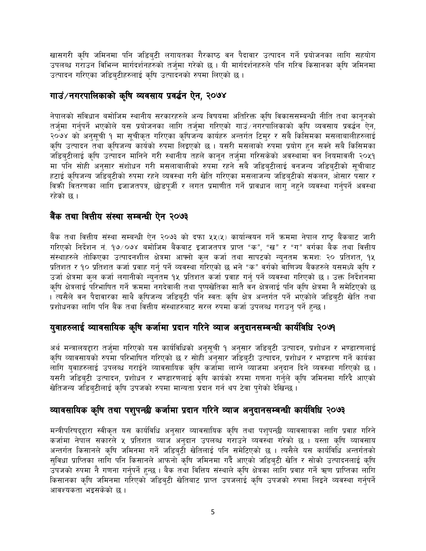खासगरी कृषि जमिनमा पनि जडिबटी लगायतका गैरकाष्ठ वन पैदावार उत्पादन गर्ने प्रयोजनका लागि सहयोग उपलब्ध गराउन विभिन्न मार्गदर्शनहरुको तर्जुमा गरेको छ । यी मार्गदर्शनहरुले पनि गरिव किसानका कृषि जमिनमा उत्पादन गरिएका जडिबटीहरुलाई कृषि उत्पादनको रुपमा लिएको छ।

#### गाउं/नगरपालिकाको कृषि व्यवसाय प्रवर्द्धन ऐन. २०७४

नेपालको संविधान बमोजिम स्थानीय सरकारहरुले अन्य विषयमा अतिरिक्त कृषि विकाससम्बन्धी नीति तथा कानूनको तर्जुमा गर्नुपर्ने भएकोले यस प्रयोजनका लागि तर्जुमा गरिएको गाउं ∕नगरपालिकाको कृषि व्यवसाय प्रवर्द्धन ऐन, २०७४ को अनुसूची १ मा सूचीकृत गरिएका कृषिजन्य कार्यहरु अन्तर्गत टिमुर र सबै किसिमका मसलाबालीहरुलाई कृषि उत्पादन तथा कृषिजन्य कार्यको रुपमा लिइएको छ । यसरी मसलाको रुपमा प्रयोग हुन सक्ने सबै किसिमका जडिबुटीलाई कृषि उत्पादन मानिने गरी स्थानीय तहले कानून तर्जुमा गरिसकेको अवस्थामा वन नियमावली २०५१ मा पनि सोही अनुसार संशोधन गरी मसलाबालीको रुपमा रहने सबै जडिबुटीलाई वनजन्य जडिबुटीको सुचीबाट हटाई कृषिजन्य जडिब्टीको रुपमा रहने व्यवस्था गरी खेति गरिएका मसलाजन्य जडिब्टीको संकलन, ओसार पसार र विकी वितरणका लागि इजाजतपत्र, छोडपूर्जी र लगत प्रमाणीत गर्ने प्रावधान लागु नहने व्यवस्था गर्नुपर्ने अवस्था रहेको छ ।

#### बैंक तथा वित्तीय संस्था सम्बन्धी ऐन २०७३

बैंक तथा वित्तीय संस्था सम्बन्धी ऐन २०७३ को दफा ५५(५) कार्यान्वयन गर्ने क्रममा नेपाल राष्ट्र बैंकबाट जारी गरिएको निर्देशन नं. १७ ⁄ ०७४ बमोजिम बैंकबाट इजाजतपत्र प्राप्त "क", "ख" र "ग" वर्गका बैक तथा वित्तीय संस्थाहरुले तोकिएका उत्पादनशील क्षेत्रमा आफ्नो कुल कर्जा तथा सापटको न्यूनतम क्रमश: २० प्रतिशत, १५ प्रतिशत र १० प्रतिशत कर्जा प्रवाह गर्न् पर्ने व्यवस्था गरिएको छ भने "क" वर्गको वाणिज्य बैंकहरुले यसमध्ये कृषि र उर्जा क्षेत्रमा कुल कर्जा लगानीको न्युनतम १५ प्रतिशत कर्जा प्रवाह गर्न् पर्ने व्यवस्था गरिएको छ । उक्त निर्देशनमा कृषि क्षेत्रलाई परिभाषित गर्ने क्रममा नगदेवाली तथा पुष्पखेतिका सातै वन क्षेत्रलाई पनि कृषि क्षेत्रमा नै समेटिएको छ । त्यसैले वन पैदावारका साथै कृषिजन्य जडिब्टी पनि स्वतः कृषि क्षेत्र अन्तर्गत पर्ने भएकोले जडिबुटी खेति तथा प्रशोधनका लागि पनि बैंक तथा वित्तीय संस्थाहरुबाट सरल रुपमा कर्जा उपलब्ध गराउन् पर्ने हुन्छ ।

#### युवाहरुलाई व्यावसायिक कृषि कर्जामा प्रदान गरिने व्याज अनुदानसम्बन्धी कार्यविधि २०७१

अर्थ मन्त्रालयद्दारा तर्जुमा गरिएको यस कार्यविधिको अनुसुची १ अनुसार जडिबुटी उत्पादन, प्रशोधन र भण्डारणलाई कृषि व्यावसायको रुपमा परिभाषित गरिएको छ र सोही अनुसार जडिबुटी उत्पादन, प्रशोधन र भण्डारण गर्ने कार्यका लागि युवाहरुलाई उपलब्ध गराईने व्यावसायिक कृषि कर्जामा लाग्ने व्याजमा अनुदान दिने व्यवस्था गरिएको छ । यसरी जडिबुटी उत्पादन, प्रशोधन र भण्डारणलाई कृषि कार्यको रुपमा गणना गर्नुले कृषि जमिनमा गरिदै आएको खेतिजन्य जडिब्टीलाई कृषि उपजको रुपमा मान्यता प्रदान गर्न थप टेवा पुगेको देखिन्छ ।

#### व्यावसायिक कृषि तथा पशुपन्छी कर्जामा प्रदान गरिने व्याज अनुदानसम्बन्धी कार्यविधि २०७३

मन्त्रीपरिषद्द्दारा स्वीकृत यस कार्यविधि अनुसार व्यावसायिक कृषि तथा पशुपन्छी व्यावसायका लागि प्रवाह गरिने कर्जामा नेपाल सकारले ५ प्रतिशत व्याज अनुदान उपलब्ध गराउने व्यवस्था गरेको छ । यस्ता कृषि व्यावसाय अन्तर्गत किसानले कृषि जमिनमा गर्ने जडिब्टी खेतिलाई पनि समेटिएको छ । त्यसैले यस कार्यविधि अन्तर्गतको सुविधा प्राप्तिका लागि पनि किसानले आफनो कृषि जमिनमा गर्दै आएको जडिबटी खेति र सोको उत्पादनलाई कृषि उपजको रुपमा नै गणना गर्नुपर्ने हुन्छ । बैक तथा वित्तिय संस्थाले कृषि क्षेत्रका लागि प्रवाह गर्ने ऋण प्राप्तिका लागि किसानका कृषि जमिनमा गरिएको जडिबटी खेतिबाट प्राप्त उपजलाई कृषि उपजको रुपमा लिइने व्यवस्था गर्नपर्ने आवश्यकता भइसकेको छ ।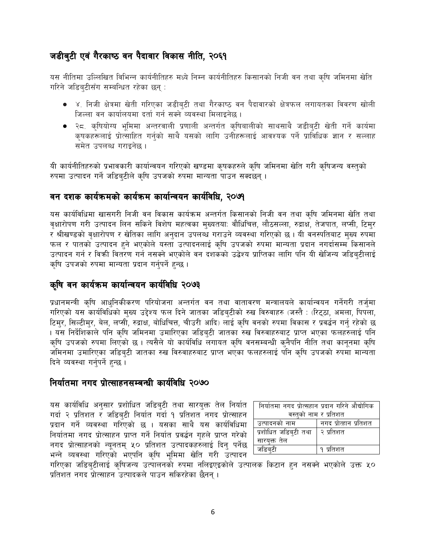#### जडीबुटी एवं गैरकाष्ठ वन पैदावार विकास नीति, २०६१

यस नीतिमा उल्लिखित विभिन्न कार्यनीतिहरु मध्ये निम्न कार्यनीतिहरु किसानको निजी वन तथा कृषि जमिनमा खेति गरिने जडिब्टीसँग सम्बन्धित रहेका छन् :

- ४. निजी क्षेत्रमा खेती गरिएका जडीबुटी तथा गैरकाष्ठ वन पैदावारको क्षेत्रफल लगायतका विवरण खोली जिल्ला वन कार्यालयमा दर्ता गर्न सक्ने व्यवस्था मिलाइनेछ।
- २८. कृषियोग्य भूमिमा अन्तरवाली प्रणाली अन्तर्गत कृषिबालीको साथसाथै जडीब्टी खेती गर्ने कार्यमा कृषकहरूलाई प्रोत्साहित गर्नुको साथै यसको लागि उनीहरूलाई आवश्यक पर्ने प्राविधिक ज्ञान र सल्लाह समेत उपलब्ध गराइनेछ ।

यी कार्यनीतिहरुको प्रभावकारी कार्यान्वयन गरिएको खण्डमा कुषकहरुले कृषि जमिनमा खेति गरी कृषिजन्य वस्तुको रुपमा उत्पादन गर्ने जडिबुटीले कृषि उपजको रुपमा मान्यता पाउन सक्दछन् ।

#### वन दशक कार्यक्रमको कार्यक्रम कार्यान्वयन कार्यविधि. २०७१

यस कार्यविधिमा खासगरी निजी वन विकास कार्यक्रम अन्तर्गत किसानको निजी वन तथा कृषि जमिनमा खेति तथा वृक्षारोपण गरी उत्पादन लिन सकिने विशेष महत्वका मुख्यतयाः वौधिचित्त, लौठसल्ला, रुद्राक्ष, तेजपात, लप्सी, टिमुर र श्रीखण्डको वृक्षारोपण र खेतिका लागि अनुदान उपलब्ध गराउने व्यवस्था गरिएको छ । यी वनस्पतिबाट मुख्य रुपमा फल र पातको उत्पादन हुने भएकोले यस्ता उत्पादनलाई कृषि उपजको रुपमा मान्यता प्रदान नगर्दासम्म किसानले उत्पादन गर्न र विक्री वितरण गर्न नसक्ने भएकोले वन दशकको उद्धेश्य प्राप्तिका लागि पनि यी खेजिन्य जडिब्टीलाई कृषि उपजको रुपमा मान्यता प्रदान गर्नुपर्ने हुन्छ ।

#### कृषि वन कार्यक्रम कार्यान्वयन कार्यविधि २०७३

प्रधानमन्त्री कृषि आधुनिकीकरण परियोजना अन्तर्गत वन तथा वातावरण मन्त्रालयले कार्यान्वयन गर्नेगरी तर्ज्मा गरिएको यस कार्यविधिको मुख्य उद्देश्य फल दिने जातका जडिबुटीको रुख विरुवाहरु (जस्तै : (रिट्ठा, अमला, पिपला, टिमुर, सिल्टीमुर, बेल, लप्सी, रुद्राक्ष, बोधिचित्त, चीउरी आदि) लाई कृषि वनको रुपमा विकास र प्रवर्द्धन गर्नु रहेको छ । यस निर्देशिकाले पनि कृषि जमिनमा उमारिएका जडिबुटी जातका रुख विरुवाहरुबाट प्राप्त भएका फलहरुलाई पनि कृषि उपजको रुपमा लिएको छ । त्यसैले यो कार्यविधि लगायत कृषि वनसम्बन्धी कनैपनि नीति तथा कानुनमा कृषि जमिनमा उमारिएका जडिबुटी जातका रुख विरुवाहरुबाट प्राप्त भएका फलहरुलाई पनि कृषि उपजको रुपमा मान्यता दिने व्यवस्था गर्नुपर्ने हुन्छ ।

#### निर्यातमा नगद प्रोत्साहनसम्बन्धी कार्यविधि २०७०

यस कार्यविधि अनुसार प्रशोधित जडिबुटी तथा सारयुक्त तेल निर्यात गर्दा २ प्रतिशत र जडिबुटी निर्यात गर्दा १ प्रतिशत नगद प्रोत्साहन प्रदान गर्ने व्यवस्था गरिएको छ । यसका साथै यस कार्यविधिमा निर्यातमा नगद प्रोत्साहन प्राप्त गर्ने निर्यात प्रवर्द्धन गुहले प्राप्त गरेको नगद प्रोत्साहनको न्युनतम् ५० प्रतिशत उत्पादकहरुलाई दिन् पर्नेछ भन्ने व्यवस्था गरिएको भएपनि कृषि भूमिमा खेति गरी उत्पादन

| निर्यातमा नगद प्रोत्सहान प्रदान गरिने औद्योगिक |                       |  |  |  |
|------------------------------------------------|-----------------------|--|--|--|
| वस्तुको नाम र प्रतिशत                          |                       |  |  |  |
| उत्पादनको नाम                                  | नगद प्रोत्हान प्रतिशत |  |  |  |
| प्रशोधित जडिबुटी तथा                           | │ २ प्रतिशत           |  |  |  |
| सारयुक्त तेल                                   |                       |  |  |  |
| जडिब्टी                                        | १ प्रतिशत             |  |  |  |

गरिएका जडिबटीलाई कृषिजन्य उत्पालनको रुपमा नलिइएइकोले उत्पालक किटान हुन नसक्ने भएकोले उक्त ५० प्रतिशत नगद प्रोत्साहन उत्पादकले पाउन सकिरहेका छैनन ।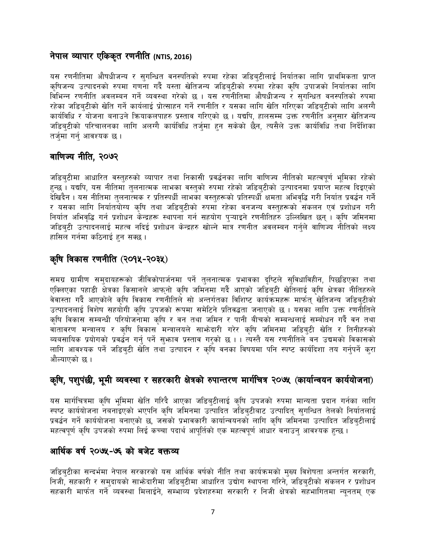#### नेपाल व्यापार एकिकृत रणनीति (NTIS, 2016)

यस रणनीतिमा औषधीजन्य र सुगन्धित वनस्पतिको रुपमा रहेका जडिब्टीलाई निर्यातका लागि प्राथमिकता प्राप्त कृषिजन्य उत्पादनको रुपमा गणना गर्दै यस्ता खेतिजन्य जडिब्टीको रुपमा रहेका कृषि उपाजको निर्यातका लागि विभिन्न रणनीति अवलम्बन गर्ने व्यवस्था गरेको छ । यस रणनीतिमा औषधीजन्य र सगन्धित वनस्पतिको रुपमा रहेका जडिब्टीको खेति गर्ने कार्यलाई प्रोत्साहन गर्ने रणनीति र यसका लागि खेति गरिएका जडिब्टीको लागि अलग्गै कार्यविधि र योजना बनाउने कियाकलपाहरु प्रस्ताव गरिएको छ । यद्यपि, हालसम्म उक्त रणनीति अनुसार खेतिजन्य जडिब्टीको परिचालनका लागि अलग्गै कार्यविधि तर्ज्मा हुन सकेको छैन, त्यसैले उक्त कार्यविधि तथा निर्देशिका तर्जुमा गर्न् आवश्यक छ ।

#### वाणिज्य नीति, २०७२

जडिबुटीमा आधारित वस्तुहरुको व्यापार तथा निकासी प्रवर्द्धनका लागि वाणिज्य नीतिको महत्वपूर्ण भूमिका रहेको हुन्छ । यद्यपि, यस नीतिमा तुलनात्मक लाभका वस्तुको रुपमा रहेको जडिबुटीको उत्पादनमा प्रयाप्त महत्व दिइएको देखिदैन । यस नीतिमा तुलनात्मक र प्रतिस्पर्धी लाभका वस्तुहरूको प्रतिस्पर्धी क्षमता अभिवृद्धि गरी निर्यात प्रवर्द्धन गर्ने र यसका लागि निर्यातयोग्य कृषि तथा जडिबुटीको रुपमा रहेका वनजन्य वस्तुहरूको संकलन एवं प्रशोधन गरी निर्यात अभिवृद्धि गर्न प्रशोधन केन्द्रहरू स्थापना गर्न सहयोग पुऱ्याइने रणनीतिहरु उल्लिखित छन् । कृषि जमिनमा जडिबुटी उत्पादनलाई महत्व नदिई प्रशोधन केन्द्रहरु खोल्ने मात्र रणनीत अवलम्बन गर्नुले वाणिज्य नीतिको लक्ष्य हासिल गर्नमा कठिनाई हुन सक्छ।

#### कृषि विकास रणनीति (२०१५-२०३५)

समग्र ग्रामीण समुदायहरूको जीविकोपार्जनमा पर्ने तुलनात्मक प्रभावका दुष्टिले सुविधाविहीन, पिछडिएका तथा एक्लिएका पहाडी क्षेत्रका किसानले आफ्नो कृषि जमिनमा गर्दै आएको जडिबुटी खेतिलाई कृषि क्षेत्रका नीतिहरुले वेवास्ता गर्दै आएकोले कृषि विकास रणनीतिले सो अन्तर्गतका विशिष्ट कार्यक्रमहरू मार्फत् खेतिजन्य जडिबटीको उत्पादनलाई विशेष सहयोगी कृषि उपजको रूपमा समेटिने प्रतिवद्धता जनाएको छ । यसका लागि उक्त रणनीतिले कृषि विकास सम्बन्धी परियोजनामा कृषि र वन तथा जमिन र पानी बीचको सम्बन्धलाई सम्बोधन गर्दै वन तथा वातावरण मन्त्रालय र कृषि विकास मन्त्रालयले साभ्रेदारी गरेर कृषि जमिनमा जडिबटी खेति र तिनीहरुको ब्यबसायिक प्रयोगको प्रवर्द्धन गर्नु पर्ने सुभ्राव प्रस्ताव गरुको छ । । त्यस्तै यस रणनीतिले वन उद्यमको विकासको लागि आवश्यक पर्ने जडिब्टी खेति तथा उत्पादन र कृषि वनका विषयमा पनि स्पष्ट कार्यदिशा तय गर्नुपर्ने करा औल्याएको छ ।

#### कृषि, पशुपंछी, भूमी व्यवस्था र सहरकारी क्षेत्रको रुपान्तरण मार्गचित्र २०७५ (कार्यान्वयन कार्ययोजना)

यस मार्गचित्रमा कृषि भूमिमा खेति गरिदै आएका जडिबुटीलाई कृषि उपजको रुपमा मान्यता प्रदान गर्नका लागि स्पष्ट कार्ययोजना नबनाइएको भएपनि कृषि जमिनमा उत्पादित जडिबुटीबाट उत्पादित् सुगन्धित तेलको निर्यातलाई प्रवर्द्धन गर्ने कार्ययोजना बनाएको छ, जसको प्रभावकारी कार्यान्वयनको लागि कृषि जमिनमा उत्पादित जडिबुटीलाई महत्वपूर्ण कृषि उपजको रुपमा लिई कच्चा पदार्थ आपूर्तिको एक महत्वपूर्ण आधार बनाउनु आवश्यक हुन्छ ।

#### आर्थिक वर्ष २०७५-७६ को बजेट वक्तव्य

जडिबुटीका सन्दर्भमा नेपाल सरकारको यस आर्थिक वर्षको नीति तथा कार्यक्रमको मुख्य विशेषता अन्तर्गत सरकारी, निजी, सहकारी र समुदायको साभेदारीमा जडिबुटीमा आधारित उद्योग स्थापना गरिने, जडिबुटीको संकलन र प्रशोधन सहकारी मार्फत गर्ने व्यवस्था मिलाईने, सम्भाव्य प्रदेशहरुमा सरकारी र निजी क्षेत्रको सहभागितमा न्युनतम् एक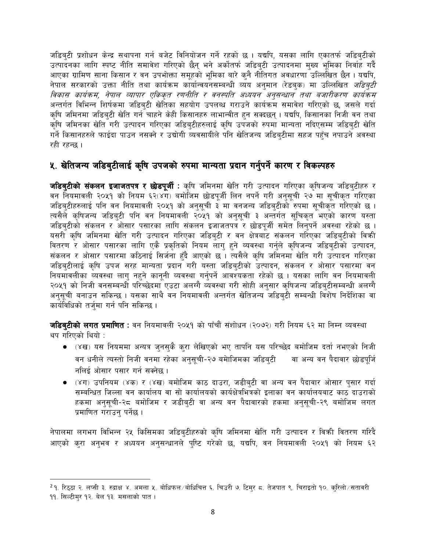जडिबटी प्रशोधन केन्द्र सथापना गर्न बजेट विनियोजन गर्ने रहको छ । यद्यपि, यसका लागि एकातर्फ जडिबटीको उत्पादनका लागि स्पष्ट नीति समावेश गरिएको छैन् भने अर्कोतर्फ जडिब्टी उत्पादनमा मुख्य भूमिका निर्वाह गर्दै आएका ग्रामिण साना किसान र वन उपभोक्ता समूहको भूमिका बारे कुनै नीतिगत अवधारणा उल्लिखित छैन । यद्यपि, नेपाल सरकारको उक्ता नीति तथा कार्यक्रम कार्यान्वयनसम्बन्धी व्यय अन्**मान (रेडब्**क) मा उल्लिखित *जडिब्टी* विकास कार्यक्रम, नेपाल व्यापार एकिकृत रणनीति र वनस्पति अध्ययन अनुसन्धान तथा बजारीकरण कार्यक्रम अन्तर्गत विभिन्न शिर्षकमा जडिब्टी खेतिका सहयोग उपलब्ध गराउने कार्यक्रम समावेश गरिएको छ, जसले गर्दा कृषि जमिनमा जडिबुटी खेति गर्न चाहने केही किसानहरु लाभान्वीत हुन सक्दछन् । यद्यपि, किसानका निजी वन तथा कृषि जमिनका खेति गरी उत्पादन गरिएका जडिबुटीहरुलाई कृषि उपजको रुपमा मान्यता नदिएसम्म जडिबुटी खेति गर्ने किसानहरुले फाईदा पाउन नसक्ने र उद्योगी व्यवसायीले पनि खेतिजन्य जडिबुटीमा सहज पहुँच नपाउने अवस्था रही रहन्छ ।

#### ५. खेतिजन्य जडिबुटीलाई कृषि उपजको रुपमा मान्यता प्रदान गर्नुपर्ने कारण र विकल्पहरु

**जडिबुटीको संकलन इजाजतपत्र र छोडपूर्जी** : कृषि जमिनमा खेति गरी उत्पादन गरिएका कृषिजन्य जडिबुटीहरु र वन नियमावली २०५१ को नियम ६२(४ग) बमोजिम छोडपुर्जी लिन नपर्ने गरी अनुसूची २७ मा सूचीकृत गरिएका जडिब्टीहरुलाई पनि वन नियमावली २०५१ को अनुसूची ३ मा वनजन्य जडिब्टीको रुपमा सूचीकृत गरिएको छ । त्यसैले कथिजन्य जडिबटी पनि वन नियमावली २०५१ को अनुसची ३ अन्तर्गत सुचिकत भएको कारण यस्ता जडिब्टीको संकलन र ओसार पसारका लागि संकलन इजाजतपत्र र छोडपूर्जी समेत लिन्पर्ने अवस्था रहेको छ । यसरी कृषि जमिनमा खेति गरी उत्पादन गरिएका जडिब्टी र वन क्षेत्रबाट संकलन गरिएका जडिब्टीको विक्री वितरण र ओसार पसारका लागि एकै प्रकृतिको नियम लाग् हने व्यवस्था गर्नुले कृषिजन्य जडिब्टीको उत्पादन, संकलन र ओसार पसारमा कठिनाई सिर्जना हुँदै आएको छ । त्यसैले कृषि जमिनमा खेति गरी उत्पादन गरिएका जडिबुटीलाई कृषि उपज सरह मान्यता प्रदान गरी यस्ता जडिबुटीको उत्पादन, संकलन र ओसार पसारमा वन नियमावलीका व्यवस्था लाग नहने कानुनी व्यवस्था गर्नुपर्ने आवश्यकता रहेको छ । यसका लागि वन नियमावली २०५१ को निजी वनसम्बन्धी परिच्छेदमा एउटा अलग्गै व्यवस्था गरी सोही अनुसार कृषिजन्य जडिबुटीसम्बन्धी अलग्गै अनुसूची बनाउन सकिन्छ । यसका साथै वन नियमावली अन्तर्गत खेतिजन्य जडिबुटी सम्बन्धी विशेष निर्देशिका वा कार्यविधिको तर्जुमा गर्न पनि सकिन्छ ।

**जडिब्टीको लगत प्रमाणित :** वन नियमावली २०५१ को पाँचौं संशोधन (२०७२) गरी नियम ६२ मा निम्न व्यवस्था थप गरिएको थियो :

- (४ख) यस नियममा अन्यत्र जुनसुकै कुरा लेखिएको भए तापनि यस परिच्छेद बमोजिम दर्ता नभएको निजी वन धनीले त्यस्तो निजी वनमा रहेका अनुसूची-२७ बमाेजिमका जडिबटी वा अन्य वन पैदावार छोडपुर्जि नलिई ओसार पसार गर्न सक्नेछ ।
- (४ग) उपनियम (४क) र (४ख) बमोजिम काठ दाउरा, जडीब्टी वा अन्य वन पैदावार ओसार पुसार गर्दा सम्बन्धित जिल्ला वन कार्यालय वा सो कार्यालयको कार्यक्षेत्रभित्रको इलाका वन कार्यालयबाट काठ दाउराको हकमा अनुसुची-२८ बमोजिम र जडीबुटी वा अन्य वन पैदावारको हकमा अनुसुची-२९ बमोजिम लगत प्रमाणित गराउन् पर्नेछ ।

नेपालमा लगभग विभिन्न २५ किसिमका जडिबुटीहरुको कृषि जमिनमा खेति गरी उत्पादन र विक्री वितरण गरिदै आएको कुरा अनुभव र अध्ययन अनुसन्धानले पुष्टि गरेको छ, यद्यपि, वन नियमावली २०५१ को नियम ६२

<sup>&</sup>lt;sup>2</sup> १. रिठ्ठा २. लप्सी ३. रुद्राक्ष ४. अमला ५. बोधिफल ⁄ बोधिचित्त ६. चिउरी ७. टिमुर ८. तेजपात ९. चिराइतो १०. कुरिलो ∕सतावरी ११. सिल्टीमुर १२. बेल १३. मसलाको पात ।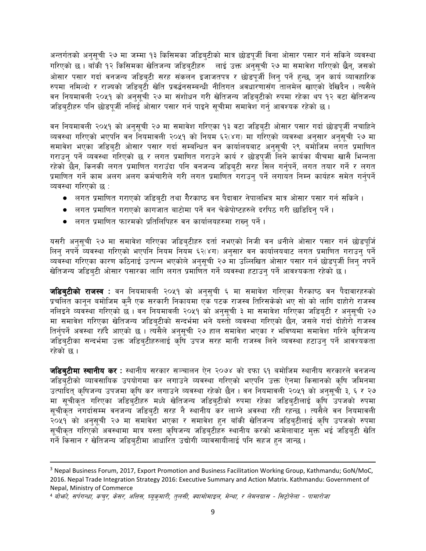अन्तर्गतको अनुसूची २७ मा जम्मा १३ किसिमका जडिबुटीको मात्र छोडपूर्जी विना ओसार पसार गर्न सकिने व्यवस्था गरिएको छ। बाँकी १२ किसिमका खेतिजन्य जडिब्टीहरु लाई उक्त अनुसूची २७ मा समावेश गरिएको छैन्, जसको ओसार पसार गर्दा वनजन्य जडिबुटी सरह संकलन इजाजतपत्र र छोडपुर्जी लिनु पर्ने हुन्छ, जुन कार्य व्यावहारिक रुपमा नमिल्दो र राज्यको जडिबुटी खेति प्रवर्द्धनसम्बन्धी नीतिगत अवधारणासँग तालमेल खाएको देखिदैन । त्यसैले वन नियमावली २०५१ को अनुसूची २७ मा संशोधन गरी खेतिजन्य जडिबुटीको रुपमा रहेका थप १२ वटा खेतिजन्य जडिबटीहरु पनि छोडपुर्जी नलिई ओसार पसार गर्न पाइने सुचीमा समावेश गर्नु आवश्यक रहेको छ ।

वन नियमावली २०५१ को अनुसूची २७ मा समावेश गरिएका १३ वटा जडिबटी ओसार पसार गर्दा छोडपुर्जी नचाहिने व्यवस्था गरिएको भएपनि वन नियमावली २०५१ को नियम ६२(४ग) मा गरिएको व्यवस्था अनुसार अनुसूची २७ मा समावेश भएका जडिब्टी ओसार पसार गर्दा सम्बन्धित वन कार्यालयबाट अनुसूची २९ बमोजिम लगत प्रमाणित गराउन् पर्ने व्यवस्था गरिएको छ र लगत प्रमाणित गराउने कार्य र छोडपुर्जी लिने कार्यका बीचमा खासै भिन्नता रहेको छैन, किनकी लगत प्रमाणित गराउँदा पनि वनजन्य जडिब्टी सरह सिल गर्नुपर्ने, लगत तयार गर्ने र लगत प्रमाणित गर्ने काम अलग अलग कर्मचारीले गरी लगत प्रमाणित गराउन् पर्ने लगायत निम्न कार्यहरु समेत गर्नुपर्ने व्यवस्था गरिएको छ :

- लगत प्रमाणित गराएको जडिबुटी तथा गैरकाष्ठ वन पैदावार नेपालभित्र मात्र ओसार पसार गर्न सकिने ।
- लगत प्रमाणित गराएको कागजात बाटोमा पर्ने वन चेकेपोष्टहरुले दरपिठ गरी छाडिदिनु पर्ने ।
- लगत प्रमाणित फारमको प्रतिलिपिहरु वन कार्यालयहरुमा राख्नु पर्ने ।

यसरी अनुसूची २७ मा समावेश गरिएका जडिब्टीहरु दर्ता नभएको निजी वन धनीले ओसार पसार गर्न छोडपूर्जि लिनु नपर्ने व्यवस्था गरिएको भएपनि नियम नियम ६२(४ग) अनुसार वन कार्यालयबाट लगत प्रमाणित गराउनु पर्ने व्यवस्था गरिएका कारण कठिनाई उत्पन्न भएकोले अनुसुची २७ मा उल्लिखित ओसार पसार गर्न छोडपुर्जी लिनु नपर्ने खेतिजन्य जडिबुटी ओसार पसारका लागि लगत प्रमाणित गर्ने व्यवस्था हटाउन् पर्ने आवश्यकता रहेको छ ।

**जडिब्टीको राजस्व** : वन नियमावली २०५१ को अनुसुची ६ मा समावेश गरिएका गैरकाष्ठ वन पैदावारहरुको प्रचलित कानून बमोजिम कुनै एक सरकारी निकायमा एक पटक राजस्व तिरिसकेको भए सो को लागि दाहोरो राजस्व नलिइने व्यवस्था गरिएको छ । वन नियमावली २०५१ को अनुसूची ३ मा समावेश गरिएका जडिबुटी र अनुसूची २७ मा समावेश गरिएका खेतिजन्य जडिबुटीको सन्दर्भमा भने यस्तो व्यवस्था गरिएको छैन, जसले गर्दा दोहोरो राजस्व तिर्नुपर्ने अवस्था रहँदै आएको छ । त्यसैले अनुसूची २७ हाल समावेश भएका र भविष्यमा समावेश गरिने कृषिजन्य जडिबटीका सन्दर्भमा उक्त जडिब्**टीहरुलाई कृषि उपज सरह मानी राजस्व लिने** व्यवस्था हटाउन् पर्ने आवश्यकता रहेको छ ।

**जडिबुटीमा स्थानीय कर** : स्थानीय सरकार सञ्चालन ऐन २०७४ को दफा ६१ बमोजिम स्थानीय सरकारले वनजन्य जडिब्टीको व्यावसायिक उपयोगमा कर लगाउने व्यवस्था गरिएको भएपनि उक्त ऐनमा किसानको कृषि जमिनमा उत्पादित् कृषिजन्य उपजमा कृषि कर लगाउने व्यवस्था रहेको छैन। वन नियमावली २०५१ को अनुसूची ३, ६ र २७ मा सूचीकृत गरिएका जडिबुटीहरु मध्ये खेतिजन्य जडिबुटीको रुपमा रहेका जडिबुटीलाई कृषि उपजको रुपमा सुचीकृत नगर्दासम्म वनजन्य जडिबुटी सरह नै स्थानीय कर लाग्ने अवस्था रही रहन्छ । त्यसैले वन नियमावली २०५१ को अनुसूची २७ मा समावेश भएका र समावेश हुन बाँकी खेतिजन्य जडिबुटीलाई कृषि उपजको रुपमा सूचीकृत गरिएको अवस्थामा मात्र यस्ता कृषिजन्य जडिबुटीहरु स्थानीय करको भन्मेलाबाट मुक्त भई जडिबुटी खेति गर्ने किसान र खेतिजन्य जडिबटीमा आधारित उद्योगी व्यावसायीलाई पनि सहज हन जान्छ ।

<sup>&</sup>lt;sup>3</sup> Nepal Business Forum, 2017, Export Promotion and Business Facilitation Working Group, Kathmandu; GoN/MoC, 2016. Nepal Trade Integration Strategy 2016: Executive Summary and Action Matrix. Kathmandu: Government of Nepal, Ministry of Commerce

<sup>4</sup> बोभने, सर्पगन्धा, कच्र, केसर, अतिस, घ्यूकुमारी, तुलसी, क्यामोमाइल, मेन्था, र लेमनग्रास - सिट्टोनेला - पामारोजा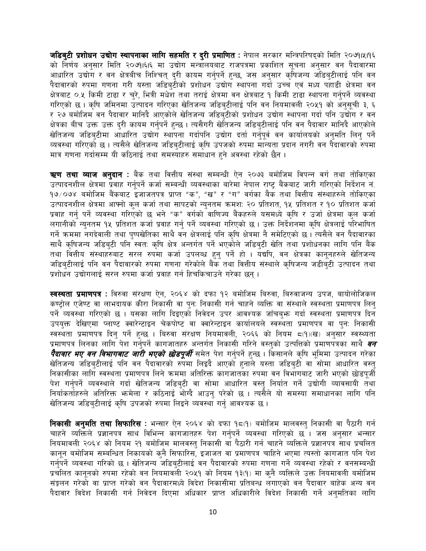जडिबटी प्रशोधन उद्योग स्थापनाका लागि सहमति र दरी प्रमाणित : नेपाल सरकार मन्त्रिपरिषद्को मिति २०७१।५।१६ को निर्णय अनुसार मिति २०७१।६।६ मा उद्योग मन्त्रोलयबाट राजपत्रमा प्रकाशित सूचना अनुसार वन पैदावारमा आधारित उद्योग र वन क्षेत्रबीच निश्चित् दरी कायम गर्नुपर्ने हुन्छ, जस अनुसार कृषिजन्य जडिब्टीलाई पनि वन पैदावारको रुपमा गणना गरी यस्ता जडिबुटीको प्रशोधन उद्योग स्थापना गर्दा उच्च एवं मध्य पहाडी क्षेत्रमा वन क्षेत्रबाट ०.५ किमी टाढा र चुरे, भित्री मधेश तथा तराई क्षेत्रमा वन क्षेत्रबाट १ किमी टाढा स्थापना गर्नुपर्ने व्यवस्था गरिएको छ । कृषि जमिनमा उत्पादन गरिएका खेतिजन्य जडिब्टीलाई पनि वन नियमावली २०५१ को अनुसूची ३, ६ र २७ बमोजिम वन पैदावार मानिदै आएकोले खेतिजन्य जडिबुटीको प्रशोधन उद्योग स्थापना गर्दा पनि उद्योग र वन क्षेत्रका बीच उक्त उक्त दुरी कायम गर्नुपर्ने हुन्छ । त्यसैगरी खेतिजन्य जडिबुटीलाई पनि वन पैदावार मानिदै आएकोले खेतिजन्य जडिबटीमा आधारित उद्योग स्थापना गर्दापनि उद्योग दर्ता गर्नुपूर्व वन कार्यालयको अनुमति लिन् पर्ने व्यवस्था गरिएको छ। त्यसैले खेतिजन्य जडिबुटीलाई कृषि उपजको रुपमा मान्यता प्रदान नगरी वन पैदावारको रुपमा मात्र गणना गर्दासम्म यी कठिनाई तथा समस्याहरु समाधान हुने अवस्था रहेको छैन ।

**ऋण तथा व्याज अनुदान** : बैंक तथा वित्तीय संस्था सम्बन्धी ऐन २०७३ बमोजिम विपन्न वर्ग तथा तोकिएका उत्पादनशील क्षेत्रमा प्रवाह गर्नुपर्ने कर्जा सम्बन्धी व्यवस्थाका बारेमा नेपाल राष्ट बैंकबाट जारी गरिएको निर्देशन नं. १७∕*०*७४ बमोजिम बैंकबाट इजाजतपत्र प्राप्त "क", "ख" र "ग" वर्गका बैर्क तथा वित्तीय संस्थाहरुले तोकिएका उत्पादनशील क्षेत्रमा आफ्नो कुल कर्जा तथा सापटको न्युनतम क्रमशः २० प्रतिशत, १५ प्रतिशत र १० प्रतिशत कर्जा प्रवाह गर्नु पर्ने व्यवस्था गरिएको छ भने "क" वर्गको वाणिज्य बैंकहरुले यसमध्ये कृषि र उर्जा क्षेत्रमा कुल कर्जा लगानीको न्युनतम १५ प्रतिशत कर्जा प्रवाह गर्नु पर्ने व्यवस्था गरिएको छ । उक्त निर्देशनमा कृषि क्षेत्रलाई परिभाषित गर्ने क्रममा नगदेवाली तथा पुष्पखेतिका साथै वन क्षेत्रलाई पनि कृषि क्षेत्रमा नै समेटिएको छ। त्यसैले वन पैदावारका साथै कृषिजन्य जडिबुटी पनि स्वतः कृषि क्षेत्र अन्तर्गत पर्ने भएकोले जडिबुटी खेति तथा प्रशोधनका लागि पनि बैंक तथा वित्तीय संस्थाहरुबाट सरल रुपमा कर्जा उपलब्ध हुनु पर्ने हो । यद्यपि, वन क्षेत्रका कानूनहरुले खेतिजन्य जडिबटीलाई पनि वन पैदावारको रुपमा गणना गरेकोले बैंक तथा वित्तीय संस्थाले क्षिजन्य जडीबटी उत्पादन तथा प्रशोधन उद्योगलाई सरल रुपमा कर्जा प्रवाह गर्न हिचकिचाउने गरेका छन ।

**स्वस्थता प्रमाणपत्र** : विरुवा संरक्षण ऐन, २०६४ को दफा १२ बमोजिम बिरुवा, बिरुवाजन्य उपज, बायोलोजिकल कण्टोल एजेण्ट वा लाभदायक कीरा निकासी वा पन: निकासी गर्न चाहने व्यक्ति वा संस्थाले स्वस्थता प्रमाणपत्र लिन् पर्ने व्यवस्था गरिएको छ । यसका लागि दिइएको निवेदन उपर आवश्यक जाँचबुभ गर्दा स्वस्थता प्रमाणपत्र दिन उपयुक्त देखिएमा प्लाण्ट क्वारेन्टाइन चेकपोष्ट वा क्वारेन्टाइन कार्यालयले स्वस्थता प्रमाणपत्र वा पुन: निकासी स्वस्थता प्रमाणपत्र दिनु पर्ने हुन्छ । बिरुवा संरक्षण नियमावली, २०६६ को नियम ८(१)(ख) अनुसार स्वस्थ्यता प्रमाणपत्र लिनका लागि पेश गर्नुपर्ने कागजातहरु अन्तर्गत निकासी गरिने वस्तुको उत्पत्तिको प्रमाणपत्रका साथै *वन पैदावार भए वन विभागबाट जारी भएको छोडपूर्जी* समेत पेश गर्नुपर्ने हुन्छ । किसानले कृषि भूमिमा उत्पादन गरेका खेतिजन्य जडिबटीलाई पनि वन पैदावारको रुपमा लिइदै आएको हुनाले यस्ता जडिबुटी वा सोमा आधारित वस्तु निकासीका लागि स्वस्थता प्रमाणपत्र लिने क्रममा अतिरिक्त कागजातका रुपमा वन विभागबाट जारी भएको छोडपूर्जी पेश गर्नुपर्ने व्यवस्थाले गर्दा खेतिजन्य जडिबुटी वा सोमा आधारित वस्तु निर्यात गर्ने उद्योगी व्यावसायी तथा निर्याकर्ताहरुले अतिरिक्त भन्मेला र कठिनाई भोग्दै आउनु परेको छ । त्यसैले यो समस्या समाधानका लागि पनि खेतिजन्य जडिबुटीलाई कृषि उपजको रुपमा लिइने व्यवस्था गर्न् आवश्यक छ ।

**निकासी अनुमति तथा सिफारिस** : भन्सार ऐन २०६४ को दफा १८(१) बमोजिम मालवस्त् निकासी वा पैठारी गर्न चाहने व्यक्तिले प्रज्ञानपत्र साथ विभिन्न कागजातहरु पेश गर्नुपर्ने व्यवस्था गरिएको छ । जस अनुसार भन्सार नियमावली २०६४ को नियम २१ बमोजिम मालवस्तु निकासी वाँ पैठारी गर्न चाहने व्यक्तिले प्रज्ञानपत्र साथ प्रचलित कानून बमोजिम सम्बन्धित निकायको कुनै सिफारिस, इजाजत वा प्रमाणपत्र चाहिने भएमा त्यस्तो कागजात पनि पेश गर्नुपर्ने व्यवस्था गरिको छ । खेतिजन्य जडिब्टीलाई वन पैदावारको रुपमा गणना गर्ने व्यवस्था रहेको र वनसम्बन्धी प्रचलित कानुनको रुपमा रहेको वन नियमावली २०५१ को नियम १३(१) मा कुनै व्यक्तिले उक्त नियमावली बमोजिम संङ्कलन गरेको वा प्राप्त गरेको वन पैदावारमध्ये विदेश निकासीमा प्रतिबन्ध लगाएको वन पैदावार बाहेक अन्य वन पैदावार विदेश निकासी गर्न निवेदन दिएमा अधिकार प्राप्त अधिकारीले विदेश निकासी गर्ने अनुमतिका लागि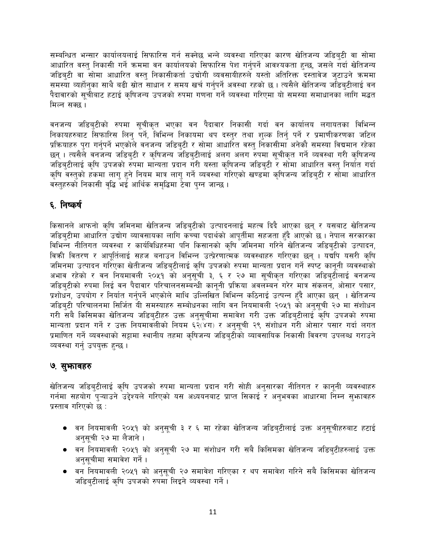सम्बन्धित भन्सार कार्यालयलाई सिफारिस गर्न सक्नेछ भन्ने व्यवस्था गरिएका कारण खेतिजन्य जडिबटी वा सोमा आधारित वस्त् निकासी गर्ने क्रममा वन कार्यालयको सिफारिस पेश गर्नुपर्ने आवश्यकता हुन्छ, जसले गर्दा खेतिजन्य जडिबटी वा सोमा आधारित वस्तु निकासीकर्ता उद्योगी व्यवसायीहरुले यस्तो अतिरिक्त दस्तावेज जटाउने क्रममा समस्या व्यर्होन्का साथै बढी स्रोत साधान र समय खर्च गर्न्पर्ने अवस्था रहको छ । त्यसैले खेतिजन्य जडिब्टीलाई वन पैदावारको सूचीबाट हटाई कृषिजन्य उपजको रुपमा गणना गर्ने व्यवस्था गरिएमा यो समस्या समाधानका लागि मद्धत मिल्न सक्छ ।

वनजन्य जडिबुटीको रुपमा सूचीकृत भएका वन पैदावार निकासी गर्दा वन कार्यालय लगायतका विभिन्न निकायहरुबाट सिफारिस लिन् पर्ने, विभिन्न निकायमा थप दस्तुर तथा शुल्क तिर्नु पर्ने र प्रमाणीकरणका जटिल प्रक्रियाहरु पुरा गर्नुपर्ने भएकोले वनजन्य जडिबुटी र सोमा आधारित वस्तु निकासीमा अनेकौ समस्या विद्यमान रहेका छन् । त्यसैले वनजन्य जडिबुटी र कृषिजन्य जडिबुटीलाई अलग अलग रुपमा सूचीकृत गर्ने व्यवस्था गरी कृषिजन्य जडिबटीलाई कृषि उपजको रुपमा मान्यता प्रदान गरी यस्ता कृषिजन्य जडिबटी र सोमा आधारित वस्तु निर्यात गर्दा कृषि वस्तुको हुकमा लागु हुने नियम मात्र लागु गर्ने व्यवस्था गरिएको खण्डमा कृषिजन्य जडिबुटी र सोमा आधारित वस्तहरुको निकासी वद्धि भई आर्थिक समद्धिमा टेवा पुग्न जान्छ ।

#### ६. निष्कर्ष

किसानले आफनो कृषि जमिनमा खेतिजन्य जडिब्टीको उत्पादनलाई महत्व दिदै आएका छन् र यसबाट खेतिजन्य जडिब्टीमा आधारित उद्योग व्यावसायका लागि कच्चा पदार्थको आपूर्तीमा सहजता हँदै आएको छ । नेपाल सरकारका विभिन्न नीतिगत व्यवस्था र कार्यविधिहरुमा पनि किसानको कृषि जमिनमा गरिने खेतिजन्य जडिब्टीको उत्पादन, विकी वितरण र आपूर्तिलाई सहज बनाउन विभिन्न उत्प्रेरणात्मक व्यवस्थाहरु गरिएका छन् । यद्यपि यसरी कृषि जमिनमा उत्पादन गरिएका खेतीजन्य जडिबुटीलाई कृषि उपजको रुपमा मान्यता प्रदान गर्ने स्पष्ट कानुनी व्यवस्थाको अभाव रहेको र वन नियमावली २०५१ को अनुसूची ३, ६ र २७ मा सुचीकृत गरिएका जडिबुटीलाई वनजन्य जडिबुटीको रुपमा लिई वन पैदावार परिचालनसम्बन्धी कानुनी प्रक्रिया अवलम्बन गरेर मात्र संकलन, ओसार पसार, प्रशोधन, उपयोग र निर्यात गर्नुपर्ने भएकोले माथि उल्लिखित विभिन्न कठिनाई उत्पन्न हुँदै आएका छन् । खेतिजन्य जडिबुटी परिचालनमा सिर्जित यी समस्याहरु सम्बोधनका लागि वन नियमावली २०५१ को अनुसूची २७ मा संशोधन गरी सबै किसिमका खेतिजन्य जडिबटीहरु उक्त अनुसुचीमा समावेश गरी उक्त जडिबुटीलाई कृषि उपजको रुपमा मान्यता प्रदान गर्ने र उक्त नियमावलीको नियम ६२(४ग) र अनुसूची २९ संशोधन गरी ओसार पसार गर्दा लगत प्रमाणित गर्ने व्यवस्थाको सट्टामा स्थानीय तहमा कृषिजन्य जडिबटीको व्यावसायिक निकासी विवरण उपलब्ध गराउने व्यवस्था गर्न उपयक्त हुन्छ।

#### ७. सुभावहरु

खेतिजन्य जडिब्टीलाई कृषि उपजको रुपमा मान्यता प्रदान गरी सोही अनुसारका नीतिगत र कानूनी व्यवस्थाहरु गर्नमा सहयोग प्ऱ्याउने उद्देश्यले गरिएको यस अध्ययनबाट प्राप्त सिकाई र अनुभवका आधारमा निम्न सुभ्रावहरु प्रस्ताव गरिएको छ :

- वन नियमावली २०५१ को अनुसूची ३ र ६ मा रहेका खेतिजन्य जडिबुटीलाई उक्त अनुसूचीहरुबाट हटाई अनसची २७ मा लैजाने ।
- वन नियमावली २०५१ को अनुसूची २७ मा संशोधन गरी सबै किसिमका खेतिजन्य जडिबुटीहरुलाई उक्त अनुसुचीमा समावेश गर्ने ।
- वन नियमावली २०५१ को अनुसूची २७ समावेश गरिएका र थप समावेश गरिने सबै किसिमका खेतिजन्य जडिबटीलाई कृषि उपजको रुपमा लिइने व्यवस्था गर्ने ।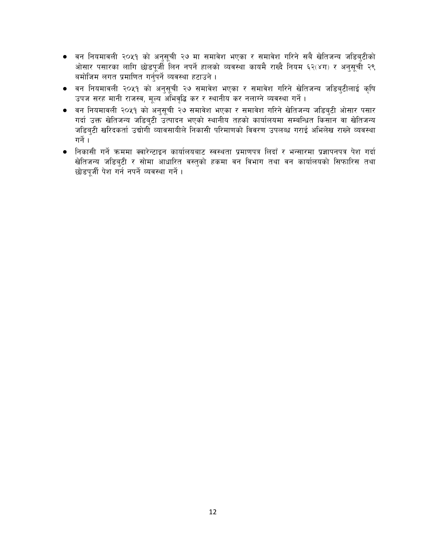- वन नियमावली २०५१ को अनुसूची २७ मा समावेश भएका र समावेश गरिने सबै खेतिजन्य जडिबुटीको ओसार पसारका लागि छोडपूर्जी लिन नपर्ने हालको व्यवस्था कायमै राख्दै नियम ६२(४ग) र अनुसूची २९ बमोजिम लगत प्रमाणित गर्नुपर्ने व्यवस्था हटाउने ।
- वन नियमावली २०५१ को अनुसूची २७ समावेश भएका र समावेश गरिने खेतिजन्य जडिब्टीलाई कृषि उपज सरह मानी राजस्व, मूल्य अभिवृद्धि कर र स्थानीय कर नलाग्ने व्यवस्था गर्ने।
- वन नियमावली २०५१ को अनुसूची २७ समावेश भएका र समावेश गरिने खेतिजन्य जडिबुटी ओसार पसार गर्दा उक्त खेतिजन्य जडिबुटी उत्पादन भएको स्थानीय तहको कार्यालयमा सम्बन्धित किसान वा खेतिजन्य जडिबुटी खरिदकर्ता उद्योगोँ व्यावसायीले निकासी परिमाणको विवरण उपलब्ध गराई अभिलेख राख्ने व्यवस्था गर्ने $\overline{1}$ ।
- निकासी गर्ने क्रममा क्वारेन्टाइन कार्यालयबाट स्वस्थता प्रमाणपत्र लिदाँ र भन्सारमा प्रज्ञापनपत्र पेश गर्दा खेतिजन्य जडिबुटी र सोमा आधारित वस्तुको हकमा वन विभाग तथा वन कार्यालयको सिफारिस तथा छोडपूर्जी पेश गर्न नपर्ने व्यवस्था गर्ने ।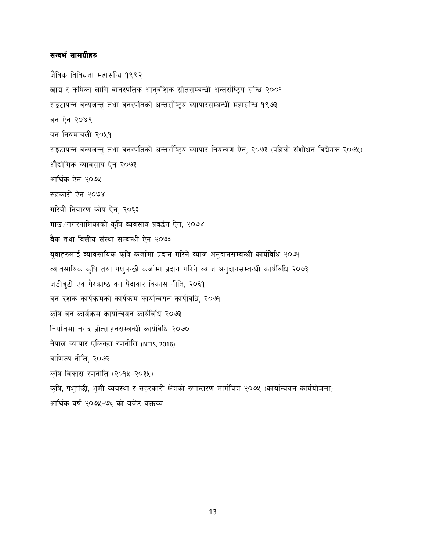#### सन्दर्भ सामग्रीहरु

जैविक विविधता महासन्धि १९९२ खाद्य र कृषिका लागि वानस्पतिक आनुवंशिक स्रोतसम्बन्धी अन्तर्राष्ट्रिय सन्धि २००१ सङ्कटापन्न वन्यजन्तु तथा वनस्पतिको अन्तर्राष्ट्रिय व्यापारसम्बन्धी महासन्धि १९७३ वन ऐन २०४९ वन नियमावली २०५१ सङ्कटापन्न वन्यजन्त् तथा वनस्पतिको अन्तर्राष्ट्रिय व्यापार नियन्त्रण ऐन, २०७३ (पहिलो संशोधन विद्येयक २०७५) औद्योगिक व्यावसाय ऐन २०७३ आर्थिक ऐन २०७५ सहकारी ऐन २०७४ गरिवी निवारण कोष ऐन, २०६३ गाउं/नगरपालिकाको कृषि व्यवसाय प्रवर्द्धन ऐन, २०७४ बैंक तथा वित्तीय संस्था सम्बन्धी ऐन २०७३ युवाहरुलाई व्यावसायिक कृषि कर्जामा प्रदान गरिने व्याज अनुदानसम्बन्धी कार्यविधि २०७१ व्यावसायिक कृषि तथा पशुपन्छी कर्जामा प्रदान गरिने व्याज अनुदानसम्बन्धी कार्यविधि २०७३ जडीबुटी एवं गैरकाष्ठ वन पैदावार विकास नीति, २०६१ वन दशक कार्यक्रमको कार्यक्रम कार्यान्वयन कार्यविधि, २०७१ कृषि वन कार्यक्रम कार्यान्वयन कार्यविधि २०७३ निर्यातमा नगद प्रोत्साहनसम्बन्धी कार्यविधि २०७० नेपाल व्यापार एकिकृत रणनीति (NTIS, 2016) वाणिज्य नीति, २०७२ कृषि विकास रणनीति (२०१५-२०३५) कृषि, पशुपंछी, भूमी व्यवस्था र सहरकारी क्षेत्रको रुपान्तरण मार्गचित्र २०७५ (कार्यान्वयन कार्ययोजना) आर्थिक वर्ष २०७५-७६ को बजेट वक्तव्य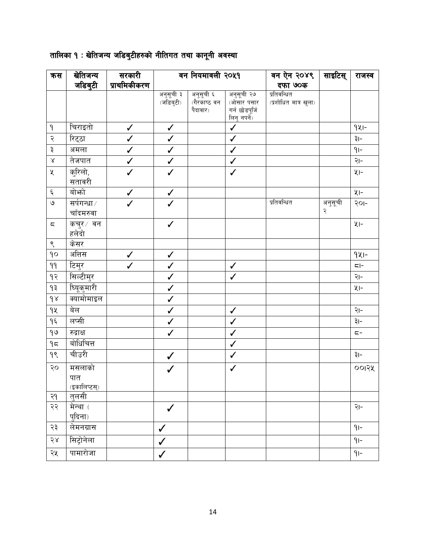| कस                     | खेतिजन्य     | सरकारी       | वन नियमावली २०५१                                |                           | वन ऐन २०४९               | साइटिस्                              | राजस्व  |                       |
|------------------------|--------------|--------------|-------------------------------------------------|---------------------------|--------------------------|--------------------------------------|---------|-----------------------|
|                        | जडिबुटी      | प्राथमिकीकरण |                                                 |                           |                          | दफा ७०क                              |         |                       |
|                        |              |              | अनुसूची ३<br>$(\widetilde{\mathcal{M}}$ डिबुटी) | अनुसूची ६<br>(गैरकाष्ठ वन | अनुसूची २७<br>(ओसार पसार | प्रतिवन्धित<br>(प्रशोधित मात्र खुला) |         |                       |
|                        |              |              |                                                 | पैदावार)                  | गर्न छोडपूर्जि           |                                      |         |                       |
|                        |              |              |                                                 |                           | लिनु नपर्ने)             |                                      |         |                       |
| $\mathsf{P}$           | चिराइतो      | $\checkmark$ | $\checkmark$                                    |                           | $\checkmark$             |                                      |         | $9x -$                |
| २                      | रिट्ठा       | $\checkmark$ | $\checkmark$                                    |                           | $\checkmark$             |                                      |         | ३।-                   |
| ३                      | अमला         | $\checkmark$ | $\checkmark$                                    |                           | $\checkmark$             |                                      |         | $q$ -                 |
| $\propto$              | तेजपात       | $\checkmark$ | $\checkmark$                                    |                           | $\checkmark$             |                                      |         | २।-                   |
| $\chi$                 | कुरिलो,      | $\checkmark$ | $\checkmark$                                    |                           | $\checkmark$             |                                      |         | $4 -$                 |
|                        | सतावरी       |              |                                                 |                           |                          |                                      |         |                       |
| $\boldsymbol{\xi}$     | बोभो         | $\checkmark$ | $\checkmark$                                    |                           |                          |                                      |         | $4 -$                 |
| $\circ$                | सर्पगन्धा/   |              | $\checkmark$                                    |                           |                          | प्रतिवन्धित                          | अनुसूची | २०।-                  |
|                        | चाँदमरुवा    |              |                                                 |                           |                          |                                      | २       |                       |
| $\overline{\varsigma}$ | कचुर ∕वन     |              | $\checkmark$                                    |                           |                          |                                      |         | $x -$                 |
|                        | हलेदो        |              |                                                 |                           |                          |                                      |         |                       |
| ९                      | केसर         |              |                                                 |                           |                          |                                      |         |                       |
| 90                     | अत्तिस       | $\checkmark$ | $\checkmark$                                    |                           |                          |                                      |         | $9x1-$                |
| $\theta$               | टिमुर        | $\checkmark$ | $\checkmark$                                    |                           | $\checkmark$             |                                      |         | $\overline{\zeta}$  - |
| $9$ २                  | सिल्टीमुर    |              | $\checkmark$                                    |                           | $\checkmark$             |                                      |         | २।-                   |
| ۹₹                     | ध्यि्कुमारी  |              | $\checkmark$                                    |                           |                          |                                      |         | $x -$                 |
| $\delta$               | क्यामोमाइल   |              | $\checkmark$                                    |                           |                          |                                      |         |                       |
| qų                     | बेल          |              | $\checkmark$                                    |                           | $\checkmark$             |                                      |         | २।-                   |
| $\gamma$               | लप्सी        |              | $\checkmark$                                    |                           | $\checkmark$             |                                      |         | ३।-                   |
| 90                     | रुद्राक्ष    |              | $\checkmark$                                    |                           | $\checkmark$             |                                      |         | $5 -$                 |
| 95                     | बोधिचित्त    |              |                                                 |                           | $\checkmark$             |                                      |         |                       |
| 9                      | चीउरी        |              | $\checkmark$                                    |                           | $\checkmark$             |                                      |         | ३।-                   |
| २०                     | मसलाको       |              | ✓                                               |                           | $\checkmark$             |                                      |         | ००१२५                 |
|                        | पात          |              |                                                 |                           |                          |                                      |         |                       |
|                        | (इकालिप्टस्) |              |                                                 |                           |                          |                                      |         |                       |
| २१                     | तुलसी        |              |                                                 |                           |                          |                                      |         |                       |
| २२                     | मेन्था (     |              |                                                 |                           |                          |                                      |         | २।-                   |
|                        | प्दिना)      |              |                                                 |                           |                          |                                      |         |                       |
| २३                     | लेमनग्रास    |              | $\checkmark$                                    |                           |                          |                                      |         | $91-$                 |
| 58                     | सिट्रोनेला   |              | ✓                                               |                           |                          |                                      |         | $91-$                 |
| २५                     | पामारोजा     |              | $\checkmark$                                    |                           |                          |                                      |         | $9-$                  |

### तालिका १ : खेतिजन्य जडिबुटीहरुको नीतिगत तथा कानूनी अवस्था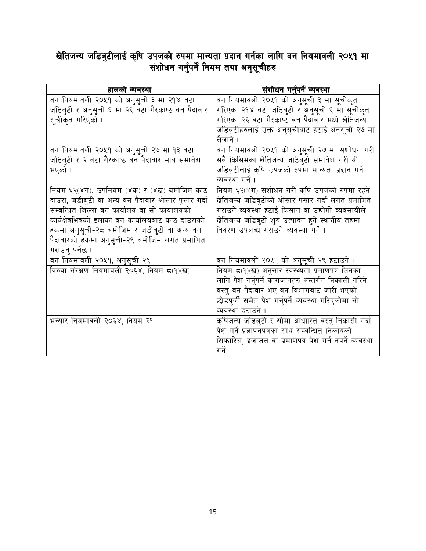# खेतिजन्य जडिबुटीलाई कृषि उपजको रुपमा मान्यता प्रदान गर्नका लागि वन नियमावली २०५१ मा<br>संशोधन गर्नुपर्ने नियम तथा अनुसूचीहरु

| हालको व्यवस्था                                       | संशोधन गर्नुपर्ने व्यवस्था                            |
|------------------------------------------------------|-------------------------------------------------------|
| वन नियमावली २०५१ को अनुसूची ३ मा २१४ वटा             | वन नियमावली २०५१ को अनुसूची ३ मा सूचीकृत              |
| जडिबुटी र अनुसूची ६ मा २६ वटा गैरकाष्ठ वन पैदावार    | गरिएका २१४ वटा जडिबुटी र अनुसूची ६ मा सूचीकृत         |
| सूचीकृत गरिएको ।                                     | गरिएका २६ वटा गैरकाष्ठ वन पैदावार मध्ये खेतिजन्य      |
|                                                      | जडिबुटीहरुलाई उक्त अनुसूचीबाट हटाई अनुसूची २७ मा      |
|                                                      | लैजाने ।                                              |
| वन नियमावली २०५१ को अनुसूची २७ मा १३ वटा             | वन नियमावली २०५१ को अनुसूची २७ मा संशोधन गरी          |
| जडिब्टी र २ वटा गैरकाष्ठ वन पैदावार मात्र समावेश     | सबै किसिमका खेतिजन्य जडिब्टी समावेश गरी यी            |
| भएको ।                                               | जडिबुटीलाई कृषि उपजको रुपमा मान्यता प्रदान गर्ने      |
|                                                      | व्यवस्था गर्ने ।                                      |
| नियम ६२(४ग). उपनियम (४क) र (४ख) बमोजिम काठ           | नियम ६२(४ग) संशोधन गरी कृषि उपजको रुपमा रहने          |
| दाउरा, जडीब्टी वा अन्य वन पैदावार ओसार प्सार गर्दा   | खेतिजन्य जडिबुटीको ओसार पसार गर्दा लगत प्रमाणित       |
| सम्बन्धित जिल्ला वन कार्यालय वा सो कार्यालयको        | गराउने व्यवस्था हटाई किसान वा उद्योगी व्यवसायीले      |
| कार्यक्षेत्रभित्रको इलाका वन कार्यालयबाट काठ दाउराको | खेतिजन्य जडिबुटी शुरु उत्पादन हुने स्थानीय तहमा       |
| हकमा अनुसूची-२८ बमोजिम र जडीबुटी वा अन्य वन          | विवरण उपलब्ध गराउने व्यवस्था गर्ने ।                  |
| पैदावारको हकमा अनुसूची-२९ बमोजिम लगत प्रमाणित        |                                                       |
| गराउन् पर्नेछ ।                                      |                                                       |
| वन नियमावली २०५१, अनुसूची २९                         | वन नियमावली २०५१ को अनुसूची २९ हटाउने ।               |
| विरुवा संरक्षण नियमावली २०६४, नियम ८(१)(ख)           | नियम ८(१)(ख) अनुसार स्वस्थ्यता प्रमाणपत्र लिनका       |
|                                                      | लागि पेश गर्नुपर्ने कागजातहरु अन्तर्गत निकासी गरिने   |
|                                                      | वस्त् वन पैदावार भए वन विभागबाट जारी भएको             |
|                                                      | छोडपूर्जी समेत पेश गर्नुपर्ने व्यवस्था गरिएकोमा सो    |
|                                                      | व्यवस्था हटाउने ।                                     |
| भन्सार नियमावली २०६४, नियम २१                        | कृषिजन्य जडिबुटी र सोमा आधारित वस्तु निकासी गर्दा     |
|                                                      | पेश गर्ने प्रज्ञापनपत्रका साथ सम्बन्धित निकायको       |
|                                                      | सिफारिस, इजाजत वा प्रमाणपत्र पेश गर्न नपर्ने व्यवस्था |
|                                                      | गर्ने ।                                               |